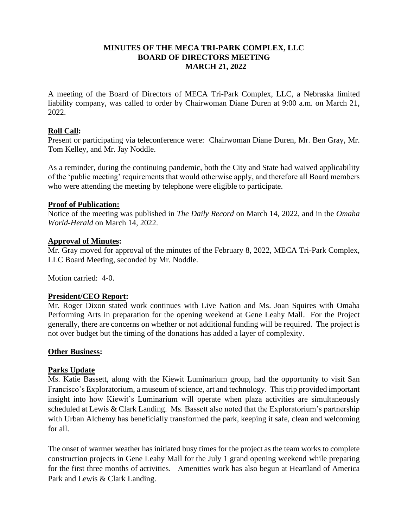## **MINUTES OF THE MECA TRI-PARK COMPLEX, LLC BOARD OF DIRECTORS MEETING MARCH 21, 2022**

A meeting of the Board of Directors of MECA Tri-Park Complex, LLC, a Nebraska limited liability company, was called to order by Chairwoman Diane Duren at 9:00 a.m. on March 21, 2022.

## **Roll Call:**

Present or participating via teleconference were: Chairwoman Diane Duren, Mr. Ben Gray, Mr. Tom Kelley, and Mr. Jay Noddle.

As a reminder, during the continuing pandemic, both the City and State had waived applicability of the 'public meeting' requirements that would otherwise apply, and therefore all Board members who were attending the meeting by telephone were eligible to participate.

### **Proof of Publication:**

Notice of the meeting was published in *The Daily Record* on March 14, 2022, and in the *Omaha World-Herald* on March 14, 2022.

### **Approval of Minutes:**

Mr. Gray moved for approval of the minutes of the February 8, 2022, MECA Tri-Park Complex, LLC Board Meeting, seconded by Mr. Noddle.

Motion carried: 4-0.

### **President/CEO Report:**

Mr. Roger Dixon stated work continues with Live Nation and Ms. Joan Squires with Omaha Performing Arts in preparation for the opening weekend at Gene Leahy Mall. For the Project generally, there are concerns on whether or not additional funding will be required. The project is not over budget but the timing of the donations has added a layer of complexity.

### **Other Business:**

# **Parks Update**

Ms. Katie Bassett, along with the Kiewit Luminarium group, had the opportunity to visit San Francisco's Exploratorium, a museum of science, art and technology. This trip provided important insight into how Kiewit's Luminarium will operate when plaza activities are simultaneously scheduled at Lewis & Clark Landing. Ms. Bassett also noted that the Exploratorium's partnership with Urban Alchemy has beneficially transformed the park, keeping it safe, clean and welcoming for all.

The onset of warmer weather has initiated busy times for the project as the team works to complete construction projects in Gene Leahy Mall for the July 1 grand opening weekend while preparing for the first three months of activities. Amenities work has also begun at Heartland of America Park and Lewis & Clark Landing.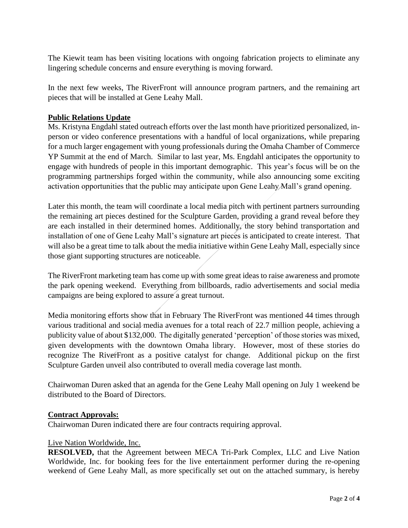The Kiewit team has been visiting locations with ongoing fabrication projects to eliminate any lingering schedule concerns and ensure everything is moving forward.

In the next few weeks, The RiverFront will announce program partners, and the remaining art pieces that will be installed at Gene Leahy Mall.

# **Public Relations Update**

Ms. Kristyna Engdahl stated outreach efforts over the last month have prioritized personalized, inperson or video conference presentations with a handful of local organizations, while preparing for a much larger engagement with young professionals during the Omaha Chamber of Commerce YP Summit at the end of March. Similar to last year, Ms. Engdahl anticipates the opportunity to engage with hundreds of people in this important demographic. This year's focus will be on the programming partnerships forged within the community, while also announcing some exciting activation opportunities that the public may anticipate upon Gene Leahy Mall's grand opening.

Later this month, the team will coordinate a local media pitch with pertinent partners surrounding the remaining art pieces destined for the Sculpture Garden, providing a grand reveal before they are each installed in their determined homes. Additionally, the story behind transportation and installation of one of Gene Leahy Mall's signature art pieces is anticipated to create interest. That will also be a great time to talk about the media initiative within Gene Leahy Mall, especially since those giant supporting structures are noticeable.

The RiverFront marketing team has come up with some great ideas to raise awareness and promote the park opening weekend. Everything from billboards, radio advertisements and social media campaigns are being explored to assure a great turnout.

Media monitoring efforts show that in February The RiverFront was mentioned 44 times through various traditional and social media avenues for a total reach of 22.7 million people, achieving a publicity value of about \$132,000. The digitally generated 'perception' of those stories was mixed, given developments with the downtown Omaha library. However, most of these stories do recognize The RiverFront as a positive catalyst for change. Additional pickup on the first Sculpture Garden unveil also contributed to overall media coverage last month.

Chairwoman Duren asked that an agenda for the Gene Leahy Mall opening on July 1 weekend be distributed to the Board of Directors.

### **Contract Approvals:**

Chairwoman Duren indicated there are four contracts requiring approval.

### Live Nation Worldwide, Inc.

**RESOLVED,** that the Agreement between MECA Tri-Park Complex, LLC and Live Nation Worldwide, Inc. for booking fees for the live entertainment performer during the re-opening weekend of Gene Leahy Mall, as more specifically set out on the attached summary, is hereby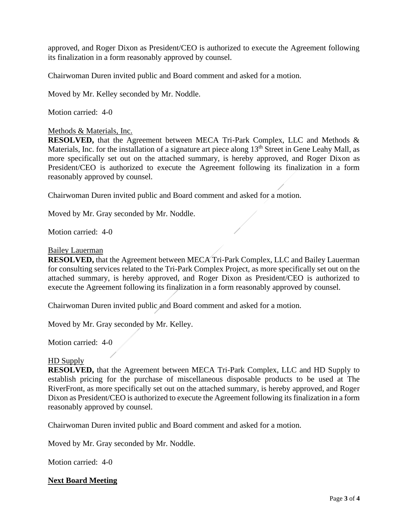approved, and Roger Dixon as President/CEO is authorized to execute the Agreement following its finalization in a form reasonably approved by counsel.

Chairwoman Duren invited public and Board comment and asked for a motion.

Moved by Mr. Kelley seconded by Mr. Noddle.

Motion carried: 4-0

#### Methods & Materials, Inc.

**RESOLVED,** that the Agreement between MECA Tri-Park Complex, LLC and Methods & Materials, Inc. for the installation of a signature art piece along  $13<sup>th</sup>$  Street in Gene Leahy Mall, as more specifically set out on the attached summary, is hereby approved, and Roger Dixon as President/CEO is authorized to execute the Agreement following its finalization in a form reasonably approved by counsel.

Chairwoman Duren invited public and Board comment and asked for a motion.

Moved by Mr. Gray seconded by Mr. Noddle.

Motion carried: 4-0

#### Bailey Lauerman

**RESOLVED,** that the Agreement between MECA Tri-Park Complex, LLC and Bailey Lauerman for consulting services related to the Tri-Park Complex Project, as more specifically set out on the attached summary, is hereby approved, and Roger Dixon as President/CEO is authorized to execute the Agreement following its finalization in a form reasonably approved by counsel.

Chairwoman Duren invited public and Board comment and asked for a motion.

Moved by Mr. Gray seconded by Mr. Kelley.

Motion carried: 4-0

#### HD Supply

**RESOLVED,** that the Agreement between MECA Tri-Park Complex, LLC and HD Supply to establish pricing for the purchase of miscellaneous disposable products to be used at The RiverFront, as more specifically set out on the attached summary, is hereby approved, and Roger Dixon as President/CEO is authorized to execute the Agreement following its finalization in a form reasonably approved by counsel.

Chairwoman Duren invited public and Board comment and asked for a motion.

Moved by Mr. Gray seconded by Mr. Noddle.

Motion carried: 4-0

### **Next Board Meeting**